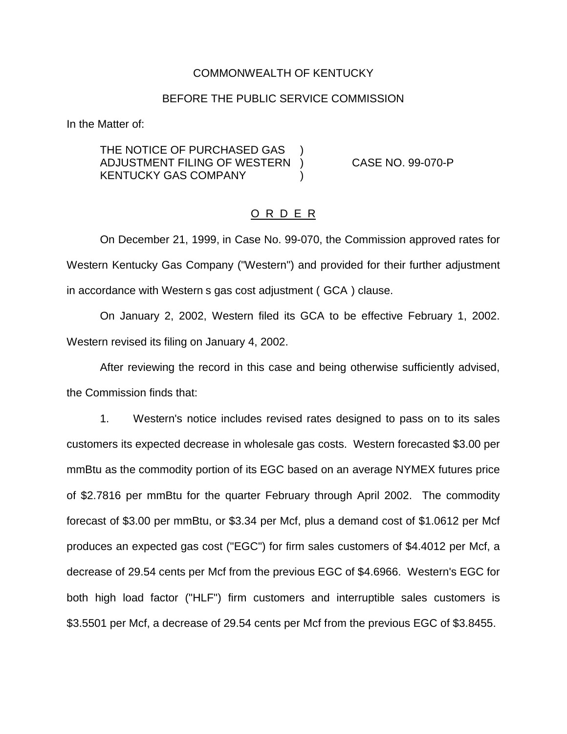#### COMMONWEALTH OF KENTUCKY

#### BEFORE THE PUBLIC SERVICE COMMISSION

In the Matter of:

THE NOTICE OF PURCHASED GAS ADJUSTMENT FILING OF WESTERN ) CASE NO. 99-070-P KENTUCKY GAS COMPANY )

### O R D E R

On December 21, 1999, in Case No. 99-070, the Commission approved rates for Western Kentucky Gas Company ("Western") and provided for their further adjustment in accordance with Western s gas cost adjustment ( GCA ) clause.

On January 2, 2002, Western filed its GCA to be effective February 1, 2002. Western revised its filing on January 4, 2002.

After reviewing the record in this case and being otherwise sufficiently advised, the Commission finds that:

1. Western's notice includes revised rates designed to pass on to its sales customers its expected decrease in wholesale gas costs. Western forecasted \$3.00 per mmBtu as the commodity portion of its EGC based on an average NYMEX futures price of \$2.7816 per mmBtu for the quarter February through April 2002. The commodity forecast of \$3.00 per mmBtu, or \$3.34 per Mcf, plus a demand cost of \$1.0612 per Mcf produces an expected gas cost ("EGC") for firm sales customers of \$4.4012 per Mcf, a decrease of 29.54 cents per Mcf from the previous EGC of \$4.6966. Western's EGC for both high load factor ("HLF") firm customers and interruptible sales customers is \$3.5501 per Mcf, a decrease of 29.54 cents per Mcf from the previous EGC of \$3.8455.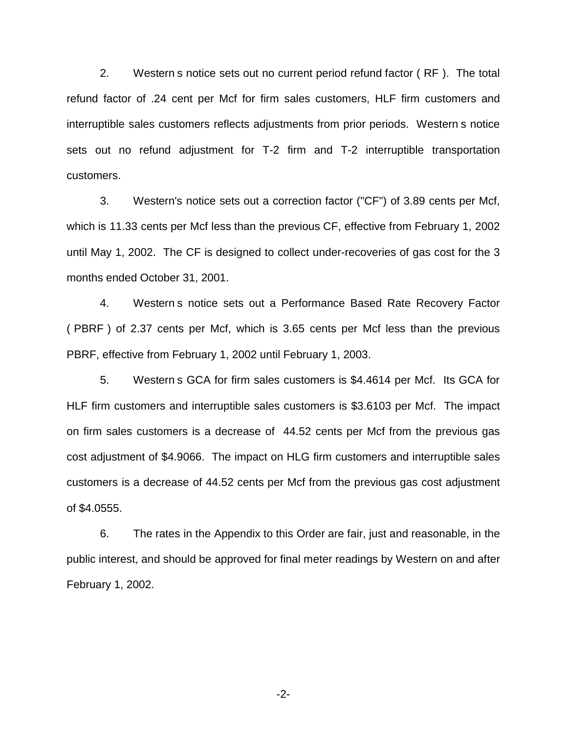2. Western s notice sets out no current period refund factor ( RF ). The total refund factor of .24 cent per Mcf for firm sales customers, HLF firm customers and interruptible sales customers reflects adjustments from prior periods. Western s notice sets out no refund adjustment for T-2 firm and T-2 interruptible transportation customers.

3. Western's notice sets out a correction factor ("CF") of 3.89 cents per Mcf, which is 11.33 cents per Mcf less than the previous CF, effective from February 1, 2002 until May 1, 2002. The CF is designed to collect under-recoveries of gas cost for the 3 months ended October 31, 2001.

4. Western s notice sets out a Performance Based Rate Recovery Factor ( PBRF ) of 2.37 cents per Mcf, which is 3.65 cents per Mcf less than the previous PBRF, effective from February 1, 2002 until February 1, 2003.

5. Western s GCA for firm sales customers is \$4.4614 per Mcf. Its GCA for HLF firm customers and interruptible sales customers is \$3.6103 per Mcf. The impact on firm sales customers is a decrease of 44.52 cents per Mcf from the previous gas cost adjustment of \$4.9066. The impact on HLG firm customers and interruptible sales customers is a decrease of 44.52 cents per Mcf from the previous gas cost adjustment of \$4.0555.

6. The rates in the Appendix to this Order are fair, just and reasonable, in the public interest, and should be approved for final meter readings by Western on and after February 1, 2002.

-2-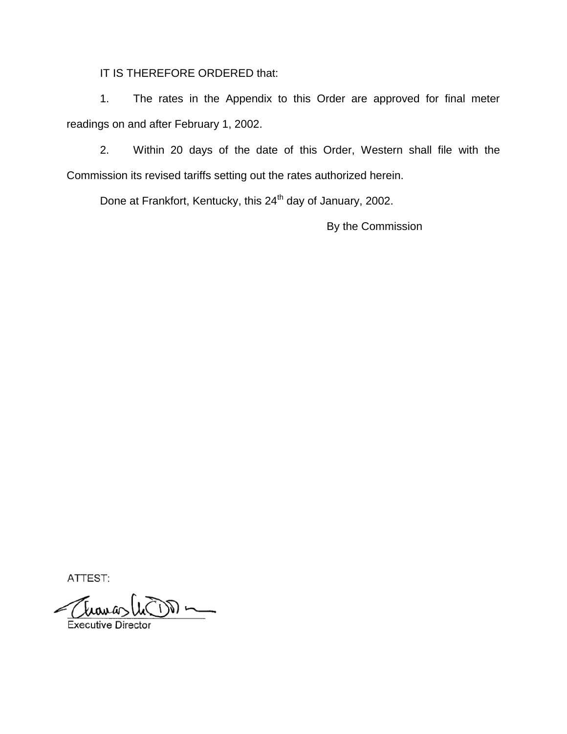IT IS THEREFORE ORDERED that:

1. The rates in the Appendix to this Order are approved for final meter readings on and after February 1, 2002.

2. Within 20 days of the date of this Order, Western shall file with the Commission its revised tariffs setting out the rates authorized herein.

Done at Frankfort, Kentucky, this 24<sup>th</sup> day of January, 2002.

By the Commission

ATTEST:

**Executive Director**